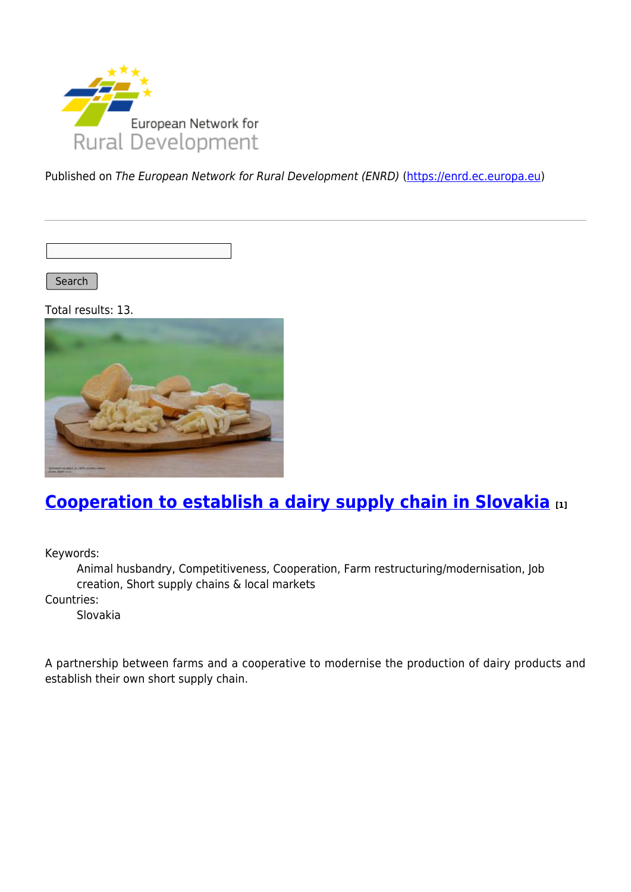

Published on The European Network for Rural Development (ENRD) [\(https://enrd.ec.europa.eu](https://enrd.ec.europa.eu))

Search

Total results: 13.



# **[Cooperation to establish a dairy supply chain in Slovakia](https://enrd.ec.europa.eu/projects-practice/cooperation-establish-dairy-supply-chain-slovakia_en) [1]**

Keywords:

Animal husbandry, Competitiveness, Cooperation, Farm restructuring/modernisation, Job creation, Short supply chains & local markets

Countries:

Slovakia

A partnership between farms and a cooperative to modernise the production of dairy products and establish their own short supply chain.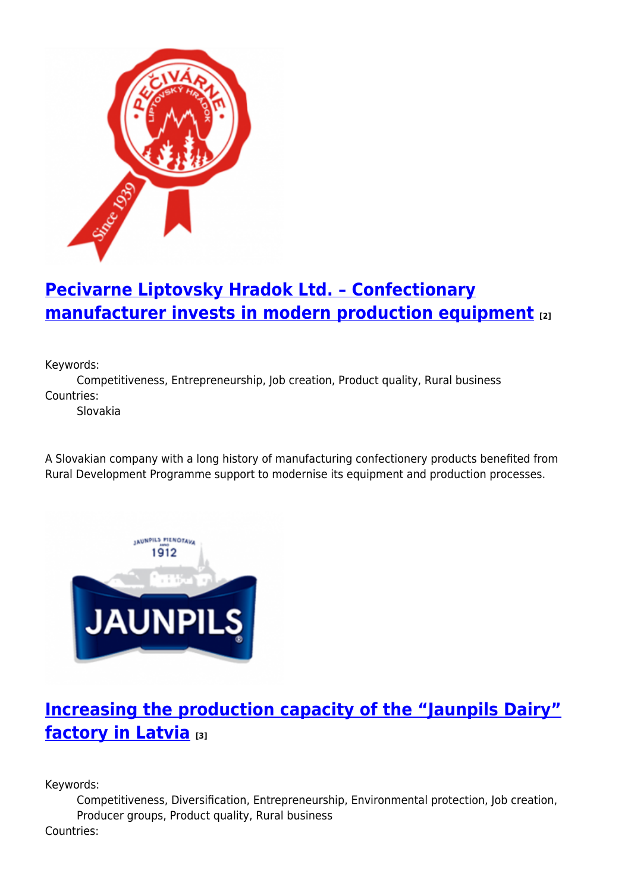

# **[Pecivarne Liptovsky Hradok Ltd. – Confectionary](https://enrd.ec.europa.eu/projects-practice/pecivarne-liptovsky-hradok-ltd-confectionary-manufacturer-invests-modern_en) [manufacturer invests in modern production equipment](https://enrd.ec.europa.eu/projects-practice/pecivarne-liptovsky-hradok-ltd-confectionary-manufacturer-invests-modern_en) [2]**

Keywords:

Competitiveness, Entrepreneurship, Job creation, Product quality, Rural business Countries:

Slovakia

A Slovakian company with a long history of manufacturing confectionery products benefited from Rural Development Programme support to modernise its equipment and production processes.



## **[Increasing the production capacity of the "Jaunpils Dairy"](https://enrd.ec.europa.eu/projects-practice/increasing-production-capacity-jaunpils-dairy-factory-latvia_en) [factory in Latvia](https://enrd.ec.europa.eu/projects-practice/increasing-production-capacity-jaunpils-dairy-factory-latvia_en) [3]**

Keywords:

Competitiveness, Diversification, Entrepreneurship, Environmental protection, Job creation, Producer groups, Product quality, Rural business Countries: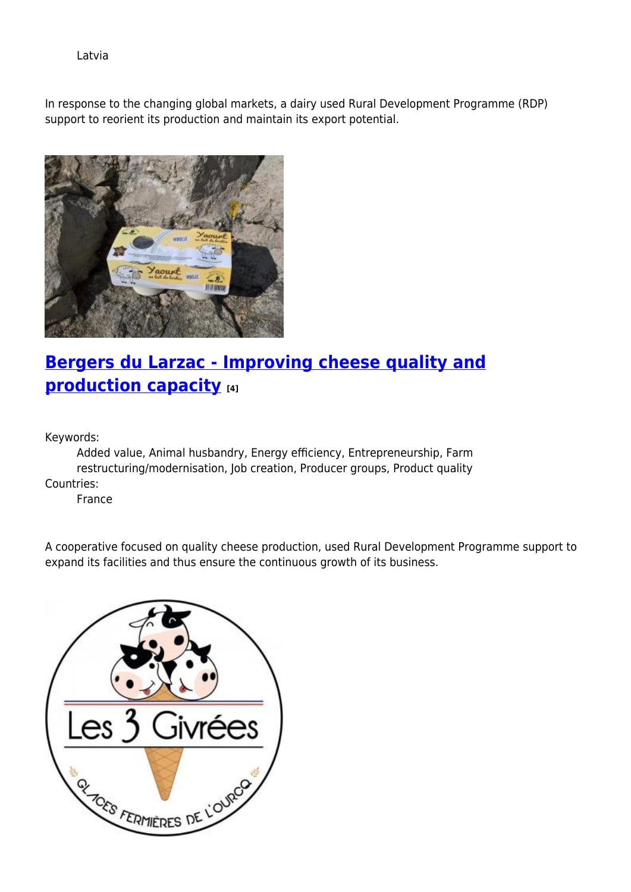Latvia

In response to the changing global markets, a dairy used Rural Development Programme (RDP) support to reorient its production and maintain its export potential.



## **[Bergers du Larzac - Improving cheese quality and](https://enrd.ec.europa.eu/projects-practice/bergers-du-larzac-improving-cheese-quality-and-production-capacity_en) [production capacity](https://enrd.ec.europa.eu/projects-practice/bergers-du-larzac-improving-cheese-quality-and-production-capacity_en) [4]**

Keywords:

Added value, Animal husbandry, Energy efficiency, Entrepreneurship, Farm restructuring/modernisation, Job creation, Producer groups, Product quality Countries:

France

A cooperative focused on quality cheese production, used Rural Development Programme support to expand its facilities and thus ensure the continuous growth of its business.

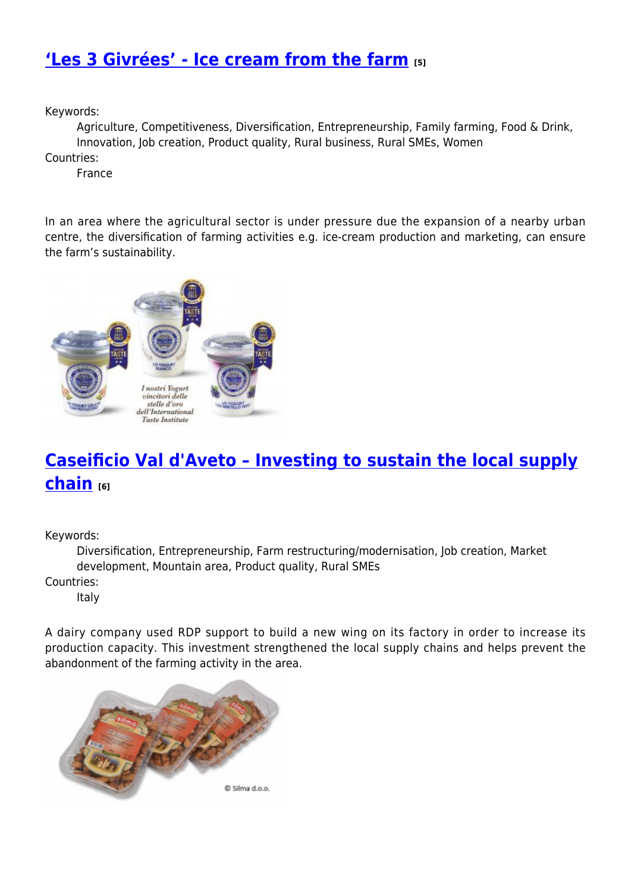#### **['Les 3 Givrées' - Ice cream from the farm](https://enrd.ec.europa.eu/projects-practice/les-3-givrees-ice-cream-farm_en) [5]**

Keywords:

Agriculture, Competitiveness, Diversification, Entrepreneurship, Family farming, Food & Drink, Innovation, Job creation, Product quality, Rural business, Rural SMEs, Women

Countries:

France

In an area where the agricultural sector is under pressure due the expansion of a nearby urban centre, the diversification of farming activities e.g. ice-cream production and marketing, can ensure the farm's sustainability.



# **[Caseificio Val d'Aveto – Investing to sustain the local supply](https://enrd.ec.europa.eu/projects-practice/caseificio-val-daveto-investing-sustain-local-supply-chain_en) [chain](https://enrd.ec.europa.eu/projects-practice/caseificio-val-daveto-investing-sustain-local-supply-chain_en) [6]**

Keywords:

Diversification, Entrepreneurship, Farm restructuring/modernisation, Job creation, Market development, Mountain area, Product quality, Rural SMEs Countries:

Italy

A dairy company used RDP support to build a new wing on its factory in order to increase its production capacity. This investment strengthened the local supply chains and helps prevent the abandonment of the farming activity in the area.

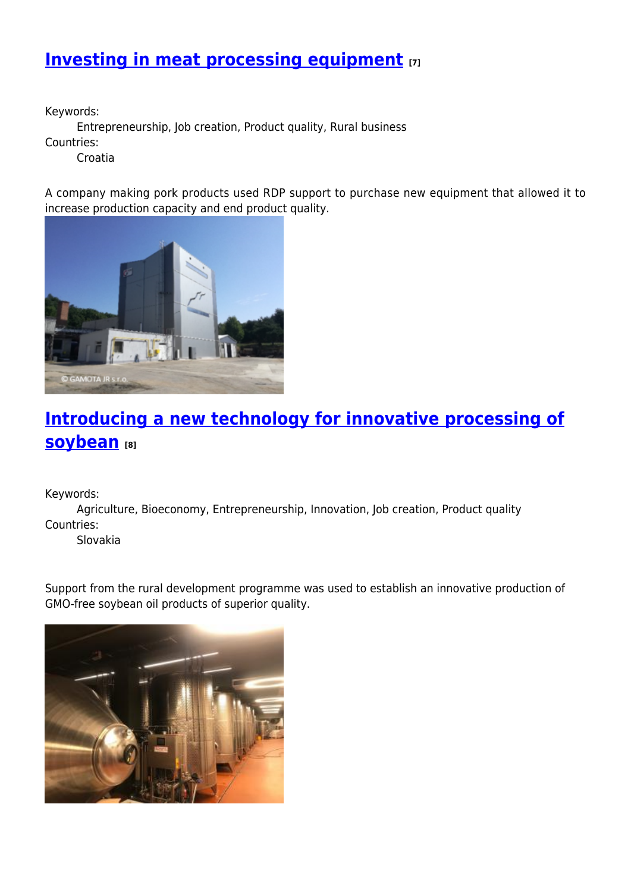## **[Investing in meat processing equipment](https://enrd.ec.europa.eu/projects-practice/investing-meat-processing-equipment_en) [7]**

Keywords:

Entrepreneurship, Job creation, Product quality, Rural business

Countries:

Croatia

A company making pork products used RDP support to purchase new equipment that allowed it to increase production capacity and end product quality.



# **[Introducing a new technology for innovative processing of](https://enrd.ec.europa.eu/projects-practice/introducing-new-technology-innovative-processing-soybean_en) [soybean](https://enrd.ec.europa.eu/projects-practice/introducing-new-technology-innovative-processing-soybean_en) [8]**

Keywords:

Agriculture, Bioeconomy, Entrepreneurship, Innovation, Job creation, Product quality Countries:

Slovakia

Support from the rural development programme was used to establish an innovative production of GMO-free soybean oil products of superior quality.

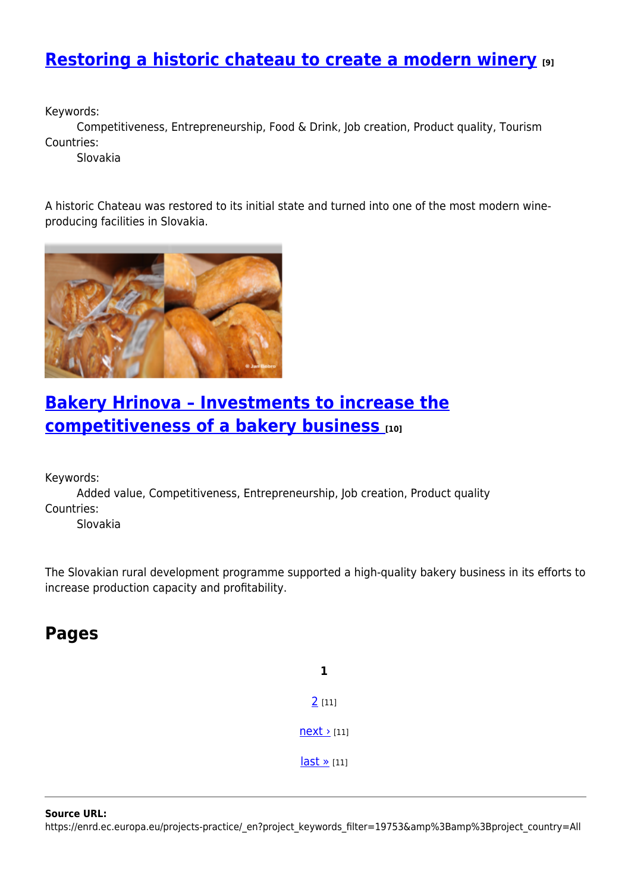#### **[Restoring a historic chateau to create a modern winery](https://enrd.ec.europa.eu/projects-practice/restoring-historic-chateau-create-modern-winery_en) [9]**

Keywords:

Competitiveness, Entrepreneurship, Food & Drink, Job creation, Product quality, Tourism Countries:

Slovakia

A historic Chateau was restored to its initial state and turned into one of the most modern wineproducing facilities in Slovakia.



#### **[Bakery Hrinova – Investments to increase the](https://enrd.ec.europa.eu/projects-practice/bakery-hrinova-investments-increase-competitiveness-bakery-business_en) [competitiveness of a bakery business](https://enrd.ec.europa.eu/projects-practice/bakery-hrinova-investments-increase-competitiveness-bakery-business_en) [10]**

Keywords:

Added value, Competitiveness, Entrepreneurship, Job creation, Product quality Countries:

Slovakia

The Slovakian rural development programme supported a high-quality bakery business in its efforts to increase production capacity and profitability.

#### **Pages**